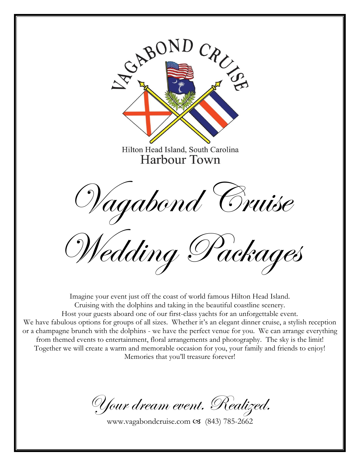

Hilton Head Island, South Carolina **Harbour Town** 

Vagabond Cruise

Wedding Packages

Imagine your event just off the coast of world famous Hilton Head Island. Cruising with the dolphins and taking in the beautiful coastline scenery. Host your guests aboard one of our first-class yachts for an unforgettable event. We have fabulous options for groups of all sizes. Whether it's an elegant dinner cruise, a stylish reception or a champagne brunch with the dolphins - we have the perfect venue for you. We can arrange everything from themed events to entertainment, floral arrangements and photography. The sky is the limit! Together we will create a warm and memorable occasion for you, your family and friends to enjoy! Memories that you'll treasure forever!

Your dream event. Realized.

[www.vagabondcruise.com](http://www.vagabondcruise.com/)  $\infty$  (843) 785-2662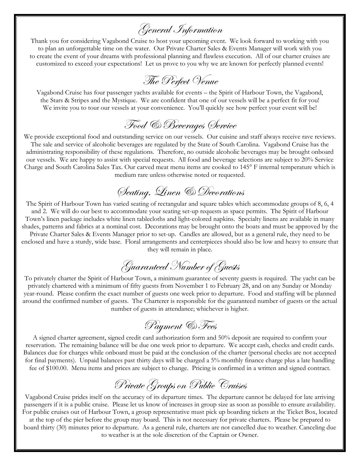General Information

Thank you for considering Vagabond Cruise to host your upcoming event. We look forward to working with you to plan an unforgettable time on the water. Our Private Charter Sales & Events Manager will work with you to create the event of your dreams with professional planning and flawless execution. All of our charter cruises are customized to exceed your expectations! Let us prove to you why we are known for perfectly planned events!

The Perfect Venue

Vagabond Cruise has four passenger yachts available for events – the Spirit of Harbour Town, the Vagabond, the Stars & Stripes and the Mystique. We are confident that one of our vessels will be a perfect fit for you! We invite you to tour our vessels at your convenience. You'll quickly see how perfect your event will be!

## Food & Beverages Service

We provide exceptional food and outstanding service on our vessels. Our cuisine and staff always receive rave reviews. The sale and service of alcoholic beverages are regulated by the State of South Carolina. Vagabond Cruise has the administrating responsibility of these regulations. Therefore, no outside alcoholic beverages may be brought onboard our vessels. We are happy to assist with special requests. All food and beverage selections are subject to 20% Service Charge and South Carolina Sales Tax. Our carved meat menu items are cooked to 145° F internal temperature which is medium rare unless otherwise noted or requested.

## Seating, Linen & Decorations

The Spirit of Harbour Town has varied seating of rectangular and square tables which accommodate groups of 8, 6, 4 and 2. We will do our best to accommodate your seating set-up requests as space permits. The Spirit of Harbour Town's linen package includes white linen tablecloths and light-colored napkins. Specialty linens are available in many shades, patterns and fabrics at a nominal cost. Decorations may be brought onto the boats and must be approved by the Private Charter Sales & Events Manager prior to set-up. Candles are allowed, but as a general rule, they need to be enclosed and have a sturdy, wide base. Floral arrangements and centerpieces should also be low and heavy to ensure that they will remain in place.

Guaranteed Number of Guests

To privately charter the Spirit of Harbour Town, a minimum guarantee of seventy guests is required. The yacht can be privately chartered with a minimum of fifty guests from November 1 to February 28, and on any Sunday or Monday year-round. Please confirm the exact number of guests one week prior to departure. Food and staffing will be planned around the confirmed number of guests. The Charterer is responsible for the guaranteed number of guests or the actual number of guests in attendance; whichever is higher.

Payment & Fees

A signed charter agreement, signed credit card authorization form and 50% deposit are required to confirm your reservation. The remaining balance will be due one week prior to departure. We accept cash, checks and credit cards. Balances due for charges while onboard must be paid at the conclusion of the charter (personal checks are not accepted for final payments). Unpaid balances past thirty days will be charged a 5% monthly finance charge plus a late handling fee of \$100.00. Menu items and prices are subject to change. Pricing is confirmed in a written and signed contract.

Private Groups on Public Cruises

Vagabond Cruise prides itself on the accuracy of its departure times. The departure cannot be delayed for late arriving passengers if it is a public cruise. Please let us know of increases in group size as soon as possible to ensure availability. For public cruises out of Harbour Town, a group representative must pick up boarding tickets at the Ticket Box, located at the top of the pier before the group may board. This is not necessary for private charters. Please be prepared to

board thirty (30) minutes prior to departure. As a general rule, charters are not cancelled due to weather. Canceling due to weather is at the sole discretion of the Captain or Owner.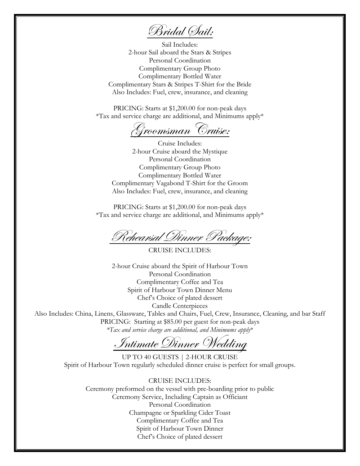Bridal Sail:

Sail Includes: 2-hour Sail aboard the Stars & Stripes Personal Coordination Complimentary Group Photo Complimentary Bottled Water Complimentary Stars & Stripes T-Shirt for the Bride Also Includes: Fuel, crew, insurance, and cleaning

PRICING: Starts at \$1,200.00 for non-peak days \*Tax and service charge are additional, and Minimums apply\*

Groomsman Cruise:

Cruise Includes: 2-hour Cruise aboard the Mystique Personal Coordination Complimentary Group Photo Complimentary Bottled Water Complimentary Vagabond T-Shirt for the Groom Also Includes: Fuel, crew, insurance, and cleaning

PRICING: Starts at \$1,200.00 for non-peak days  $*$ Tax and service charge are additional, and Minimums apply $*$ 

Rehearsal Dinner Package:

CRUISE INCLUDES:

2-hour Cruise aboard the Spirit of Harbour Town Personal Coordination Complimentary Coffee and Tea Spirit of Harbour Town Dinner Menu Chef's Choice of plated dessert Candle Centerpieces

Also Includes: China, Linens, Glassware, Tables and Chairs, Fuel, Crew, Insurance, Cleaning, and bar Staff PRICING: Starting at \$85.00 per guest for non-peak days *\*Tax and service charge are additional, and Minimums apply*\*

[Intimate Dinner Wedding](https://www.hornblower.com/port/overview/nb+nbintimatedinner)

UP TO 40 GUESTS | 2-HOUR CRUISE Spirit of Harbour Town regularly scheduled dinner cruise is perfect for small groups.

CRUISE INCLUDES: Ceremony preformed on the vessel with pre-boarding prior to public Ceremony Service, Including Captain as Officiant Personal Coordination Champagne or Sparkling Cider Toast Complimentary Coffee and Tea Spirit of Harbour Town Dinner Chef's Choice of plated dessert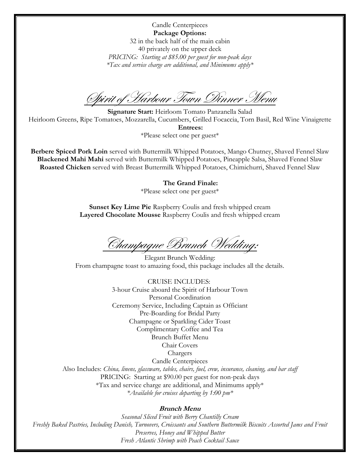Candle Centerpieces **Package Options:** 32 in the back half of the main cabin 40 privately on the upper deck *PRICING: Starting at \$85.00 per guest for non-peak days \*Tax and service charge are additional, and Minimums apply\**

Spirit of Harbour Town Dinner Menu

**Signature Start:** Heirloom Tomato Panzanella Salad Heirloom Greens, Ripe Tomatoes, Mozzarella, Cucumbers, Grilled Focaccia, Torn Basil, Red Wine Vinaigrette **Entrees:** \*Please select one per guest\*

**Berbere Spiced Pork Loin** served with Buttermilk Whipped Potatoes, Mango Chutney, Shaved Fennel Slaw **Blackened Mahi Mahi** served with Buttermilk Whipped Potatoes, Pineapple Salsa, Shaved Fennel Slaw **Roasted Chicken** served with Breast Buttermilk Whipped Potatoes, Chimichurri, Shaved Fennel Slaw

> **The Grand Finale:** \*Please select one per guest\*

**Sunset Key Lime Pie** Raspberry Coulis and fresh whipped cream **Layered Chocolate Mousse** Raspberry Coulis and fresh whipped cream

Champagne Brunch Wedding:

Elegant Brunch Wedding: From champagne toast to amazing food, this package includes all the details.

CRUISE INCLUDES: 3-hour Cruise aboard the Spirit of Harbour Town Personal Coordination Ceremony Service, Including Captain as Officiant Pre-Boarding for Bridal Party Champagne or Sparkling Cider Toast Complimentary Coffee and Tea Brunch Buffet Menu Chair Covers Chargers Candle Centerpieces Also Includes: *China, linens, glassware, tables, chairs, fuel, crew, insurance, cleaning, and bar staff* PRICING: Starting at \$90.00 per guest for non-peak days  $*$ Tax and service charge are additional, and Minimums apply $*$ 

*\*Available for cruises departing by 1:00 pm\**

## **Brunch Menu**

*Seasonal Sliced Fruit with Berry Chantilly Cream Freshly Baked Pastries, Including Danish, Turnovers, Croissants and Southern Buttermilk Biscuits Assorted Jams and Fruit Preserves, Honey and Whipped Butter Fresh Atlantic Shrimp with Peach Cocktail Sauce*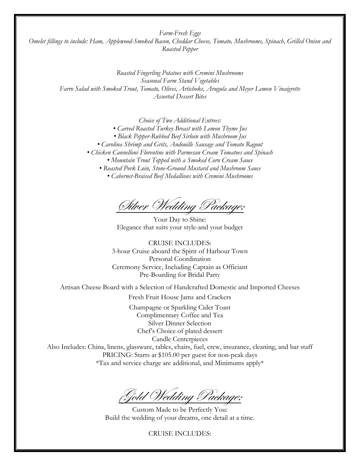*Farm-Fresh Eggs Omelet fillings to include: Ham, Applewood-Smoked Bacon, Cheddar Cheese, Tomato, Mushrooms, Spinach, Grilled Onion and Roasted Pepper*

> *Roasted Fingerling Potatoes with Cremini Mushrooms Seasonal Farm Stand Vegetables Farro Salad with Smoked Trout, Tomato, Olives, Artichoke, Arugula and Meyer Lemon Vinaigrette Assorted Dessert Bites*

> > *Choice of Two Additional Entrees:*

- *Carved Roasted Turkey Breast with Lemon Thyme Jus*
- *Black Pepper-Rubbed Beef Sirloin with Mushroom Jus*
- *Carolina Shrimp and Grits, Andouille Sausage and Tomato Ragout*

*• Chicken Cannelloni Florentine with Parmesan Cream Tomatoes and Spinach*

- *Mountain Trout Topped with a Smoked Corn Cream Sauce*
- *Roasted Pork Loin, Stone-Ground Mustard and Mushroom Sauce*
	- *Cabernet-Braised Beef Medallions with Cremini Mushrooms*

Silver Wedding Package:

Your Day to Shine: Elegance that suits your style-and your budget

CRUISE INCLUDES: 3-hour Cruise aboard the Spirit of Harbour Town Personal Coordination Ceremony Service, Including Captain as Officiant Pre-Boarding for Bridal Party

Artisan Cheese Board with a Selection of Handcrafted Domestic and Imported Cheeses

Fresh Fruit House Jams and Crackers

Champagne or Sparkling Cider Toast Complimentary Coffee and Tea Silver Dinner Selection Chef's Choice of plated dessert Candle Centerpieces

Also Includes: China, linens, glassware, tables, chairs, fuel, crew, insurance, cleaning, and bar staff PRICING: Starts at \$105.00 per guest for non-peak days  $*$ Tax and service charge are additional, and Minimums apply $*$ 

Gold Wedding Package:

Custom Made to be Perfectly You: Build the wedding of your dreams, one detail at a time.

CRUISE INCLUDES: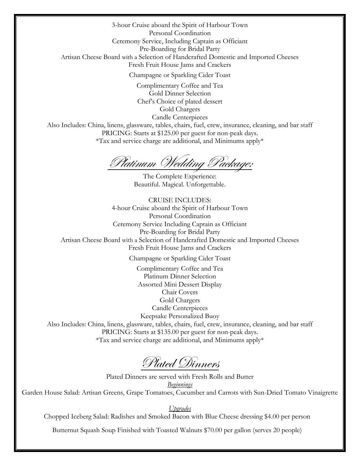3-hour Cruise aboard the Spirit of Harbour Town Personal Coordination Ceremony Service, Including Captain as Officiant Pre-Boarding for Bridal Party Artisan Cheese Board with a Selection of Handcrafted Domestic and Imported Cheeses Fresh Fruit House Jams and Crackers

Champagne or Sparkling Cider Toast

Complimentary Coffee and Tea Gold Dinner Selection Chef's Choice of plated dessert Gold Chargers Candle Centerpieces

Also Includes: China, linens, glassware, tables, chairs, fuel, crew, insurance, cleaning, and bar staff PRICING: Starts at \$125.00 per guest for non-peak days. \*Tax and service charge are additional, and Minimums apply\*

Platinum Wedding Package:

The Complete Experience: Beautiful. Magical. Unforgettable.

CRUISE INCLUDES: 4-hour Cruise aboard the Spirit of Harbour Town Personal Coordination Ceremony Service Including Captain as Officiant Pre-Boarding for Bridal Party Artisan Cheese Board with a Selection of Handcrafted Domestic and Imported Cheeses Fresh Fruit House Jams and Crackers

Champagne or Sparkling Cider Toast

Complimentary Coffee and Tea Platinum Dinner Selection Assorted Mini Dessert Display Chair Covers Gold Chargers Candle Centerpieces Keepsake Personalized Buoy Also Includes: China, linens, glassware, tables, chairs, fuel, crew, insurance, cleaning, and bar staff PRICING: Starts at \$135.00 per guest for non-peak days. \*Tax and service charge are additional, and Minimums apply\*

Plated Dinners

Plated Dinners are served with Fresh Rolls and Butter *Beginnings* Garden House Salad: Artisan Greens, Grape Tomatoes, Cucumber and Carrots with Sun-Dried Tomato Vinaigrette

*Upgrades* Chopped Iceberg Salad: Radishes and Smoked Bacon with Blue Cheese dressing \$4.00 per person

Butternut Squash Soup Finished with Toasted Walnuts \$70.00 per gallon (serves 20 people)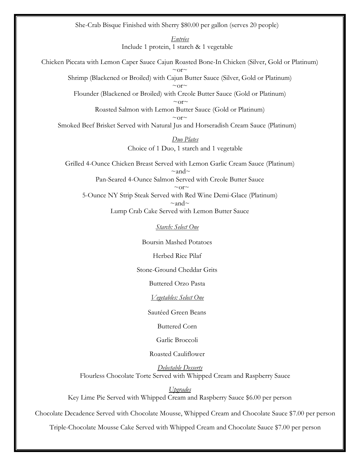She-Crab Bisque Finished with Sherry \$80.00 per gallon (serves 20 people)

*Entrées* Include 1 protein, 1 starch & 1 vegetable

Chicken Piccata with Lemon Caper Sauce Cajun Roasted Bone-In Chicken (Silver, Gold or Platinum)  $\sim$ or $\sim$ Shrimp (Blackened or Broiled) with Cajun Butter Sauce (Silver, Gold or Platinum)  $\sim$ or $\sim$ Flounder (Blackened or Broiled) with Creole Butter Sauce (Gold or Platinum)  $\sim$ or $\sim$ Roasted Salmon with Lemon Butter Sauce (Gold or Platinum)  $\sim$ or $\sim$ 

Smoked Beef Brisket Served with Natural Jus and Horseradish Cream Sauce (Platinum)

*Duo Plates* Choice of 1 Duo, 1 starch and 1 vegetable

Grilled 4-Ounce Chicken Breast Served with Lemon Garlic Cream Sauce (Platinum)  $\sim$ and $\sim$ Pan-Seared 4-Ounce Salmon Served with Creole Butter Sauce  $\sim$ or $\sim$ 5-Ounce NY Strip Steak Served with Red Wine Demi-Glace (Platinum)  $\sim$ and $\sim$ Lump Crab Cake Served with Lemon Butter Sauce

*Starch: Select One*

Boursin Mashed Potatoes

Herbed Rice Pilaf

Stone-Ground Cheddar Grits

Buttered Orzo Pasta

*Vegetables: Select One*

Sautéed Green Beans

Buttered Corn

Garlic Broccoli

Roasted Cauliflower

*Delectable Desserts* Flourless Chocolate Torte Served with Whipped Cream and Raspberry Sauce

*Upgrades* Key Lime Pie Served with Whipped Cream and Raspberry Sauce \$6.00 per person

Chocolate Decadence Served with Chocolate Mousse, Whipped Cream and Chocolate Sauce \$7.00 per person

Triple-Chocolate Mousse Cake Served with Whipped Cream and Chocolate Sauce \$7.00 per person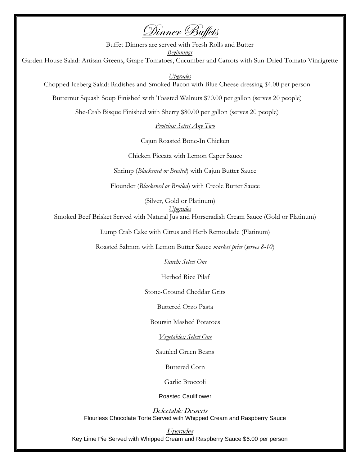Dinner Buffets

Buffet Dinners are served with Fresh Rolls and Butter *Beginnings*

Garden House Salad: Artisan Greens, Grape Tomatoes, Cucumber and Carrots with Sun-Dried Tomato Vinaigrette

*Upgrades*

Chopped Iceberg Salad: Radishes and Smoked Bacon with Blue Cheese dressing \$4.00 per person

Butternut Squash Soup Finished with Toasted Walnuts \$70.00 per gallon (serves 20 people)

She-Crab Bisque Finished with Sherry \$80.00 per gallon (serves 20 people)

*Proteins: Select Any Two*

Cajun Roasted Bone-In Chicken

Chicken Piccata with Lemon Caper Sauce

Shrimp (*Blackened or Broiled*) with Cajun Butter Sauce

Flounder (*Blackened or Broiled*) with Creole Butter Sauce

(Silver, Gold or Platinum) *Upgrades*

Smoked Beef Brisket Served with Natural Jus and Horseradish Cream Sauce (Gold or Platinum)

Lump Crab Cake with Citrus and Herb Remoulade (Platinum)

Roasted Salmon with Lemon Butter Sauce *market price* (*serves 8-10*)

*Starch: Select One*

Herbed Rice Pilaf

Stone-Ground Cheddar Grits

Buttered Orzo Pasta

Boursin Mashed Potatoes

*Vegetables: Select One*

Sautéed Green Beans

Buttered Corn

Garlic Broccoli

Roasted Cauliflower

Delectable Desserts Flourless Chocolate Torte Served with Whipped Cream and Raspberry Sauce

Upgrades Key Lime Pie Served with Whipped Cream and Raspberry Sauce \$6.00 per person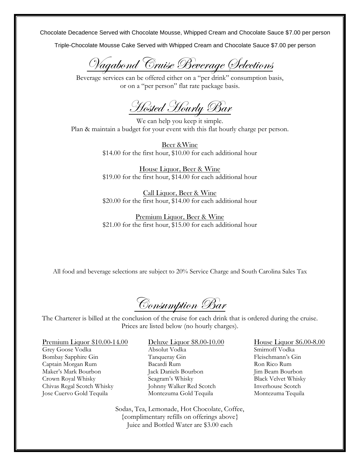Chocolate Decadence Served with Chocolate Mousse, Whipped Cream and Chocolate Sauce \$7.00 per person

Triple-Chocolate Mousse Cake Served with Whipped Cream and Chocolate Sauce \$7.00 per person

Vagabond Cruise Beverage Selections

Beverage services can be offered either on a "per drink" consumption basis, or on a "per person" flat rate package basis.

**Hosted Hourly Bar** 

We can help you keep it simple. Plan & maintain a budget for your event with this flat hourly charge per person.

> Beer &Wine \$14.00 for the first hour, \$10.00 for each additional hour

> House Liquor, Beer & Wine \$19.00 for the first hour, \$14.00 for each additional hour

> Call Liquor, Beer & Wine \$20.00 for the first hour, \$14.00 for each additional hour

> Premium Liquor, Beer & Wine \$21.00 for the first hour, \$15.00 for each additional hour

All food and beverage selections are subject to 20% Service Charge and South Carolina Sales Tax

Consumption Bar

The Charterer is billed at the conclusion of the cruise for each drink that is ordered during the cruise. Prices are listed below (no hourly charges).

Grey Goose Vodka Absolut Vodka Smirnoff Vodka Bombay Sapphire Gin Tanqueray Gin Fleischmann's Gin Captain Morgan Rum Bacardi Rum Ron Rico Rum Maker's Mark Bourbon Jack Daniels Bourbon Jim Beam Bourbon Crown Royal Whisky Seagram's Whisky Black Velvet Whisky Chivas Regal Scotch Whisky Johnny Walker Red Scotch Inverhouse Scotch Jose Cuervo Gold Tequila Montezuma Gold Tequila Montezuma Tequila

Premium Liquor \$10.00-14.00 Deluxe Liquor \$8.00-10.00 House Liquor \$6.00-8.00

Sodas, Tea, Lemonade, Hot Chocolate, Coffee, {complimentary refills on offerings above} Juice and Bottled Water are \$3.00 each